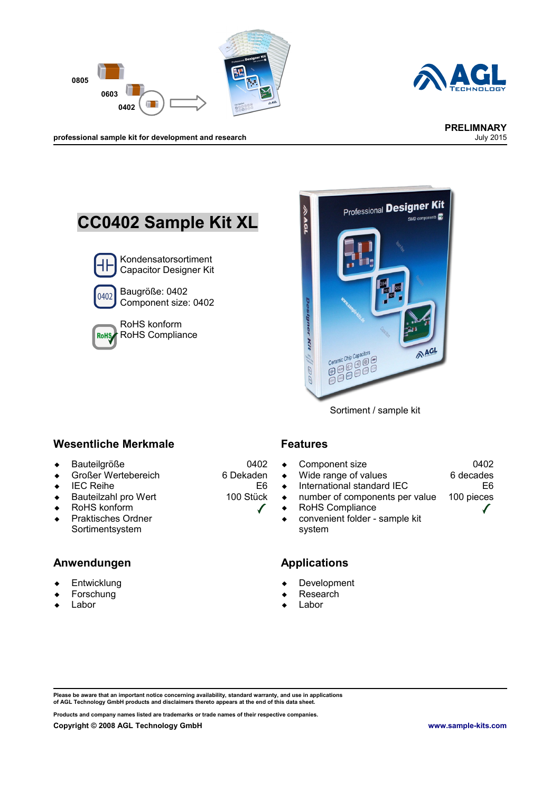



**professional sample kit for development and research** July 2015

# **CC0402 Sample Kit XL** Kondensatorsortiment Capacitor Designer Kit Baugröße: 0402 0402 Component size: 0402



RoHS konform RoHS Compliance



Sortiment / sample kit

#### **Wesentliche Merkmale Features**

- Bauteilgröße
- Großer Wertebereich
- $\leftarrow$  IEC Reihe
- ◆ Bauteilzahl pro Wert
- RoHS konform
- ◆ Praktisches Ordner Sortimentsystem

#### **Anwendungen Applications**

- **Entwicklung**
- Forschung
- Labor

0402 6 Dekaden

E6 100 Stück

 $\checkmark$ 

- Component size
- Wide range of values
- $\bullet$  International standard IEC
- number of components per value
- RoHS Compliance
- convenient folder sample kit system

- Development
- Research
- Labor

**Please be aware that an important notice concerning availability, standard warranty, and use in applications of AGL Technology GmbH products and disclaimers thereto appears at the end of this data sheet.**

**Products and company names listed are trademarks or trade names of their respective companies.**

0402 6 decades

100 pieces

E6

✔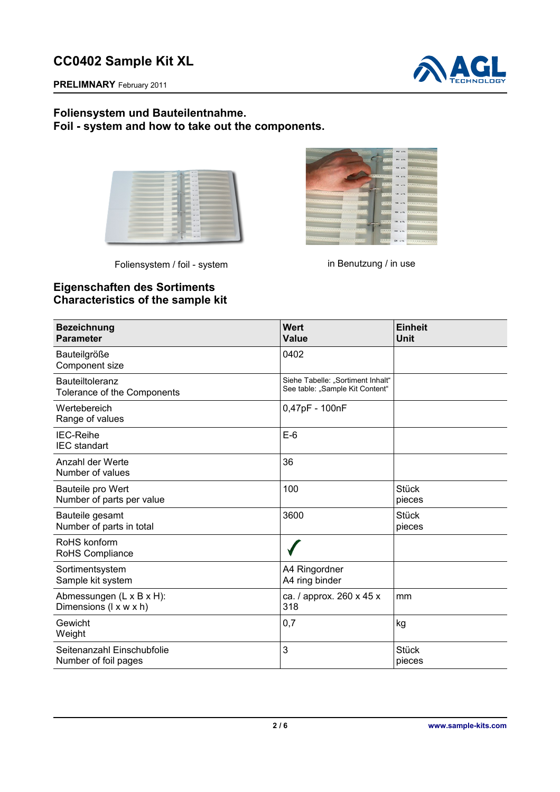

**PRELIMNARY** February 2011

### **Foliensystem und Bauteilentnahme. Foil - system and how to take out the components.**

| . .<br>                                            | ,,,,,,,,,,,,,,,,,,,,,,,,,,,,,,,,,,,,,<br><b>COLLEGE AVE ATT</b>      |  |
|----------------------------------------------------|----------------------------------------------------------------------|--|
| <b>WEIGHT STATE</b>                                | WHEN MY REAL PROPERTY AND RESIDENCE.                                 |  |
| <b>The Contract</b>                                | <b>COLORADO COM ANNI</b>                                             |  |
| <b>THE R. P. LEWIS.</b>                            | ,,,,,,,,,,,,,,,,,,,,,,,,,,,,,,,,,,<br><b>LEARER</b><br><b>SHELFE</b> |  |
|                                                    | 222222<br><b>CONTRACTOR</b>                                          |  |
|                                                    | viat, a life.<br>111117                                              |  |
| <b>A CONSUMING CONSUMING THE REAL PROPERTY AND</b> | -------------------------------------<br>111111 W.A.                 |  |
| <u> 1222 - Paris Communication (f. 1888)</u>       | ,,,,,,,,,,,,,,,,,,,,,,,,,,,,,,,,,,,,,<br><b>COLLEGE STATE</b>        |  |
| <b>ATTENDED</b>                                    | <b>CONTRACTOR</b>                                                    |  |
|                                                    |                                                                      |  |
|                                                    | <br><b>CARLOTT BUR ATT</b>                                           |  |
|                                                    | ***********************************<br><b>SERVICE SERVICE</b>        |  |
|                                                    | <b>CERRET DN 175</b>                                                 |  |
|                                                    |                                                                      |  |

Foliensystem / foil - system in Benutzung / in use



## **Eigenschaften des Sortiments Characteristics of the sample kit**

| <b>Bezeichnung</b><br><b>Parameter</b>             | <b>Wert</b><br><b>Value</b>                                          | <b>Einheit</b><br>Unit |
|----------------------------------------------------|----------------------------------------------------------------------|------------------------|
| Bauteilgröße<br>Component size                     | 0402                                                                 |                        |
| Bauteiltoleranz<br>Tolerance of the Components     | Siehe Tabelle: "Sortiment Inhalt"<br>See table: "Sample Kit Content" |                        |
| Wertebereich<br>Range of values                    | 0,47pF - 100nF                                                       |                        |
| <b>IEC-Reihe</b><br><b>IEC</b> standart            | $E-6$                                                                |                        |
| Anzahl der Werte<br>Number of values               | 36                                                                   |                        |
| Bauteile pro Wert<br>Number of parts per value     | 100                                                                  | <b>Stück</b><br>pieces |
| Bauteile gesamt<br>Number of parts in total        | 3600                                                                 | <b>Stück</b><br>pieces |
| RoHS konform<br>RoHS Compliance                    |                                                                      |                        |
| Sortimentsystem<br>Sample kit system               | A4 Ringordner<br>A4 ring binder                                      |                        |
| Abmessungen (L x B x H):<br>Dimensions (I x w x h) | ca. / approx. 260 x 45 x<br>318                                      | mm                     |
| Gewicht<br>Weight                                  | 0,7                                                                  | kg                     |
| Seitenanzahl Einschubfolie<br>Number of foil pages | 3                                                                    | <b>Stück</b><br>pieces |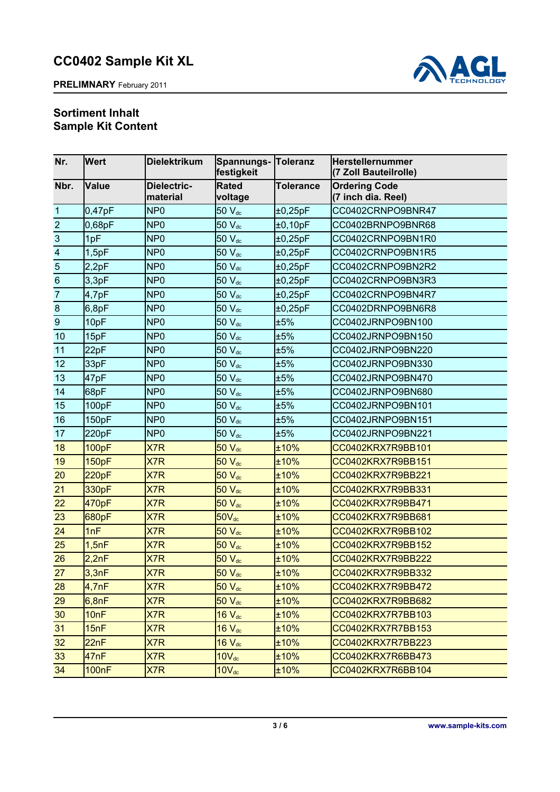

### **Sortiment Inhalt Sample Kit Content**

| Nr.                     | <b>Wert</b>  | <b>Dielektrikum</b>     | Spannungs- Toleranz<br>festigkeit |                  | <b>Herstellernummer</b><br>(7 Zoll Bauteilrolle) |
|-------------------------|--------------|-------------------------|-----------------------------------|------------------|--------------------------------------------------|
| Nbr.                    | <b>Value</b> | Dielectric-<br>material | <b>Rated</b><br>voltage           | <b>Tolerance</b> | <b>Ordering Code</b><br>(7 inch dia. Reel)       |
| $\mathbf{1}$            | 0,47pF       | NP <sub>0</sub>         | 50 V <sub>dc</sub>                | ±0,25pF          | CC0402CRNPO9BNR47                                |
| $\overline{2}$          | 0,68pF       | NP <sub>0</sub>         | $50 V_{dc}$                       | ±0,10pF          | CC0402BRNPO9BNR68                                |
| 3                       | 1pF          | NP <sub>0</sub>         | 50 V <sub>dc</sub>                | ±0,25pF          | CC0402CRNPO9BN1R0                                |
| $\overline{\mathbf{4}}$ | 1,5pF        | NP <sub>0</sub>         | $50 V_{dc}$                       | ±0,25pF          | CC0402CRNPO9BN1R5                                |
| $\overline{5}$          | 2,2pF        | NP <sub>0</sub>         | $50V_{dc}$                        | ±0,25pF          | CC0402CRNPO9BN2R2                                |
| $6\phantom{1}6$         | 3,3pF        | NP <sub>0</sub>         | 50 V <sub>dc</sub>                | ±0,25pF          | CC0402CRNPO9BN3R3                                |
| $\overline{7}$          | 4,7pF        | NP <sub>0</sub>         | 50 V <sub>dc</sub>                | ±0,25pF          | CC0402CRNPO9BN4R7                                |
| $\bf 8$                 | 6,8pF        | NP <sub>0</sub>         | 50 V <sub>dc</sub>                | ±0,25pF          | CC0402DRNPO9BN6R8                                |
| $\boldsymbol{9}$        | 10pF         | NP <sub>0</sub>         | $50 V_{dc}$                       | ±5%              | CC0402JRNPO9BN100                                |
| 10                      | 15pF         | NP <sub>0</sub>         | 50 V <sub>dc</sub>                | ±5%              | CC0402JRNPO9BN150                                |
| 11                      | 22pF         | NP <sub>0</sub>         | 50 V <sub>dc</sub>                | ±5%              | CC0402JRNPO9BN220                                |
| 12                      | 33pF         | NP <sub>0</sub>         | $50 V_{dc}$                       | ±5%              | CC0402JRNPO9BN330                                |
| 13                      | 47pF         | NP <sub>0</sub>         | $50 V_{dc}$                       | ±5%              | CC0402JRNPO9BN470                                |
| 14                      | 68pF         | NP <sub>0</sub>         | $50 V_{dc}$                       | ±5%              | CC0402JRNPO9BN680                                |
| 15                      | 100pF        | NP <sub>0</sub>         | $50V_{dc}$                        | ±5%              | CC0402JRNPO9BN101                                |
| 16                      | 150pF        | NP <sub>0</sub>         | $50 V_{dc}$                       | ±5%              | CC0402JRNPO9BN151                                |
| 17                      | 220pF        | NP <sub>0</sub>         | 50 V <sub>dc</sub>                | ±5%              | CC0402JRNPO9BN221                                |
| 18                      | <b>100pF</b> | X7R                     | $50V_{dc}$                        | ±10%             | CC0402KRX7R9BB101                                |
| 19                      | <b>150pF</b> | X7R                     | $50V_{dc}$                        | ±10%             | CC0402KRX7R9BB151                                |
| 20                      | 220pF        | X7R                     | $50 V_{dc}$                       | ±10%             | CC0402KRX7R9BB221                                |
| 21                      | 330pF        | X7R                     | $50V_{dc}$                        | ±10%             | CC0402KRX7R9BB331                                |
| 22                      | 470pF        | X7R                     | $50 V_{dc}$                       | ±10%             | CC0402KRX7R9BB471                                |
| 23                      | 680pF        | X7R                     | $50V_{dc}$                        | ±10%             | CC0402KRX7R9BB681                                |
| 24                      | 1nF          | X7R                     | $50 V_{dc}$                       | ±10%             | CC0402KRX7R9BB102                                |
| 25                      | 1,5nF        | X7R                     | $50V_{dc}$                        | ±10%             | CC0402KRX7R9BB152                                |
| 26                      | 2,2nF        | X7R                     | $50V_{dc}$                        | ±10%             | CC0402KRX7R9BB222                                |
| 27                      | 3,3nF        | X7R                     | $50V_{dc}$                        | ±10%             | CC0402KRX7R9BB332                                |
| 28                      | 4,7nF        | X7R                     | 50 V <sub>dc</sub>                | ±10%             | CC0402KRX7R9BB472                                |
| 29                      | 6,8nF        | X7R                     | $50V_{dc}$                        | ±10%             | CC0402KRX7R9BB682                                |
| 30                      | 10nF         | X7R                     | $16 V_{dc}$                       | ±10%             | CC0402KRX7R7BB103                                |
| 31                      | 15nF         | X7R                     | $16 V_{dc}$                       | ±10%             | CC0402KRX7R7BB153                                |
| 32                      | 22nF         | X7R                     | $16 V_{dc}$                       | ±10%             | CC0402KRX7R7BB223                                |
| 33                      | 47nF         | X7R                     | $10V_{dc}$                        | ±10%             | CC0402KRX7R6BB473                                |
| 34                      | <b>100nF</b> | X7R                     | $10V_{dc}$                        | ±10%             | CC0402KRX7R6BB104                                |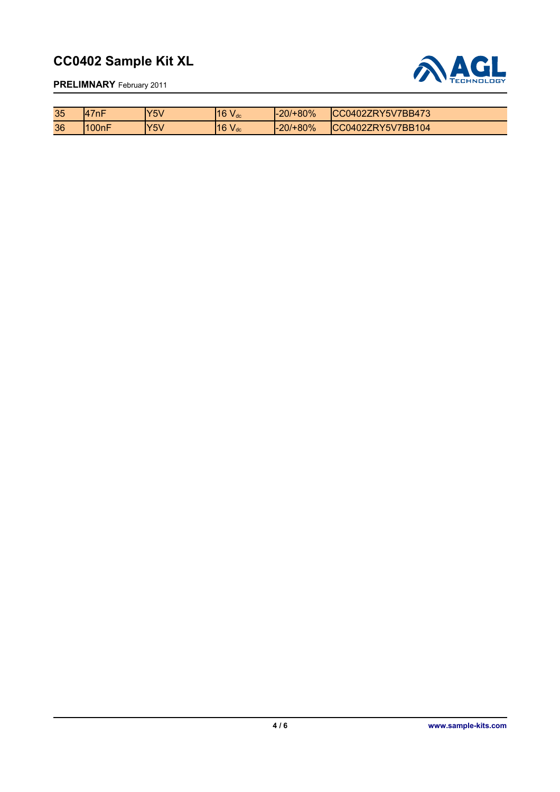

**PRELIMNARY** February 2011

| 35 | l7nF<br>$\Delta$   | <b>Y5V</b> | 16V<br>$V_{dc}$  | $ -20/+80\%$ | ICC0402ZRY5V7BB473 |
|----|--------------------|------------|------------------|--------------|--------------------|
| 36 | 100 <sub>n</sub> F | 'Y5V       | 116V<br>$V_{dc}$ | $ -20/+80\%$ | ICC0402ZRY5V7BB104 |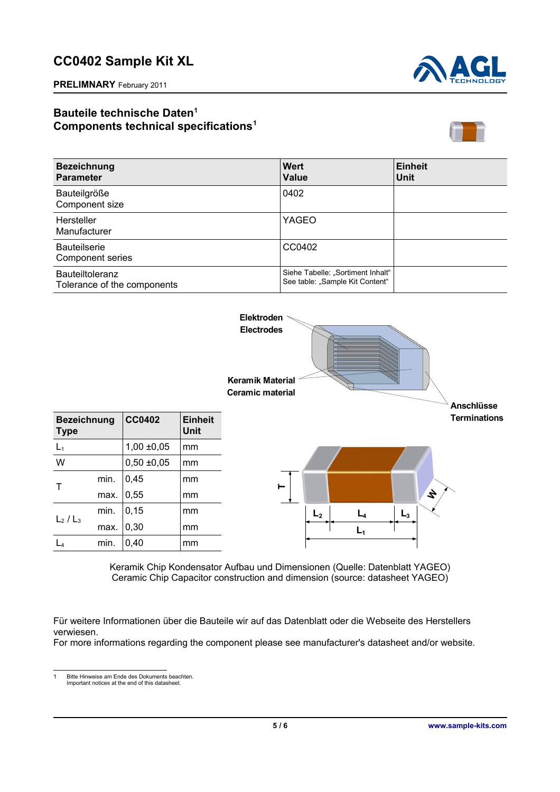

**PRELIMNARY** February 2011

## **Bauteile technische Daten[1](#page-4-0) Components technical specifications<sup>1</sup>**



| <b>Bezeichnung</b><br><b>Parameter</b>                | <b>Wert</b><br><b>Value</b>                                          | <b>Einheit</b><br>Unit |
|-------------------------------------------------------|----------------------------------------------------------------------|------------------------|
| Bauteilgröße<br>Component size                        | 0402                                                                 |                        |
| Hersteller<br>Manufacturer                            | YAGEO                                                                |                        |
| <b>Bauteilserie</b><br>Component series               | CC0402                                                               |                        |
| <b>Bauteiltoleranz</b><br>Tolerance of the components | Siehe Tabelle: "Sortiment Inhalt"<br>See table: "Sample Kit Content" |                        |



Keramik Chip Kondensator Aufbau und Dimensionen (Quelle: Datenblatt YAGEO) Ceramic Chip Capacitor construction and dimension (source: datasheet YAGEO)

Für weitere Informationen über die Bauteile wir auf das Datenblatt oder die Webseite des Herstellers verwiesen.

For more informations regarding the component please see manufacturer's datasheet and/or website.

<span id="page-4-0"></span>1 Bitte Hinweise am Ende des Dokuments beachten. Important notices at the end of this datasheet.